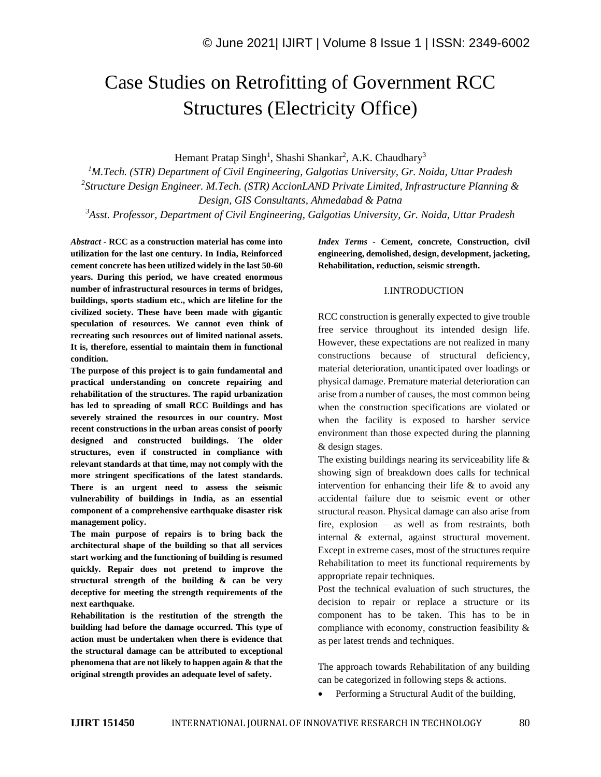# Case Studies on Retrofitting of Government RCC Structures (Electricity Office)

Hemant Pratap Singh<sup>1</sup>, Shashi Shankar<sup>2</sup>, A.K. Chaudhary<sup>3</sup>

*<sup>1</sup>M.Tech. (STR) Department of Civil Engineering, Galgotias University, Gr. Noida, Uttar Pradesh 2 Structure Design Engineer. M.Tech. (STR) AccionLAND Private Limited, Infrastructure Planning & Design, GIS Consultants, Ahmedabad & Patna*

*<sup>3</sup>Asst. Professor, Department of Civil Engineering, Galgotias University, Gr. Noida, Uttar Pradesh*

*Abstract -* **RCC as a construction material has come into utilization for the last one century. In India, Reinforced cement concrete has been utilized widely in the last 50-60 years. During this period, we have created enormous number of infrastructural resources in terms of bridges, buildings, sports stadium etc., which are lifeline for the civilized society. These have been made with gigantic speculation of resources. We cannot even think of recreating such resources out of limited national assets. It is, therefore, essential to maintain them in functional condition.** 

**The purpose of this project is to gain fundamental and practical understanding on concrete repairing and rehabilitation of the structures. The rapid urbanization has led to spreading of small RCC Buildings and has severely strained the resources in our country. Most recent constructions in the urban areas consist of poorly designed and constructed buildings. The older structures, even if constructed in compliance with relevant standards at that time, may not comply with the more stringent specifications of the latest standards. There is an urgent need to assess the seismic vulnerability of buildings in India, as an essential component of a comprehensive earthquake disaster risk management policy.**

**The main purpose of repairs is to bring back the architectural shape of the building so that all services start working and the functioning of building is resumed quickly. Repair does not pretend to improve the structural strength of the building & can be very deceptive for meeting the strength requirements of the next earthquake.**

**Rehabilitation is the restitution of the strength the building had before the damage occurred. This type of action must be undertaken when there is evidence that the structural damage can be attributed to exceptional phenomena that are not likely to happen again & that the original strength provides an adequate level of safety.**

*Index Terms -* **Cement, concrete, Construction, civil engineering, demolished, design, development, jacketing, Rehabilitation, reduction, seismic strength.**

#### I.INTRODUCTION

RCC construction is generally expected to give trouble free service throughout its intended design life. However, these expectations are not realized in many constructions because of structural deficiency, material deterioration, unanticipated over loadings or physical damage. Premature material deterioration can arise from a number of causes, the most common being when the construction specifications are violated or when the facility is exposed to harsher service environment than those expected during the planning & design stages.

The existing buildings nearing its serviceability life & showing sign of breakdown does calls for technical intervention for enhancing their life  $&$  to avoid any accidental failure due to seismic event or other structural reason. Physical damage can also arise from fire, explosion – as well as from restraints, both internal & external, against structural movement. Except in extreme cases, most of the structures require Rehabilitation to meet its functional requirements by appropriate repair techniques.

Post the technical evaluation of such structures, the decision to repair or replace a structure or its component has to be taken. This has to be in compliance with economy, construction feasibility & as per latest trends and techniques.

The approach towards Rehabilitation of any building can be categorized in following steps & actions.

• Performing a Structural Audit of the building,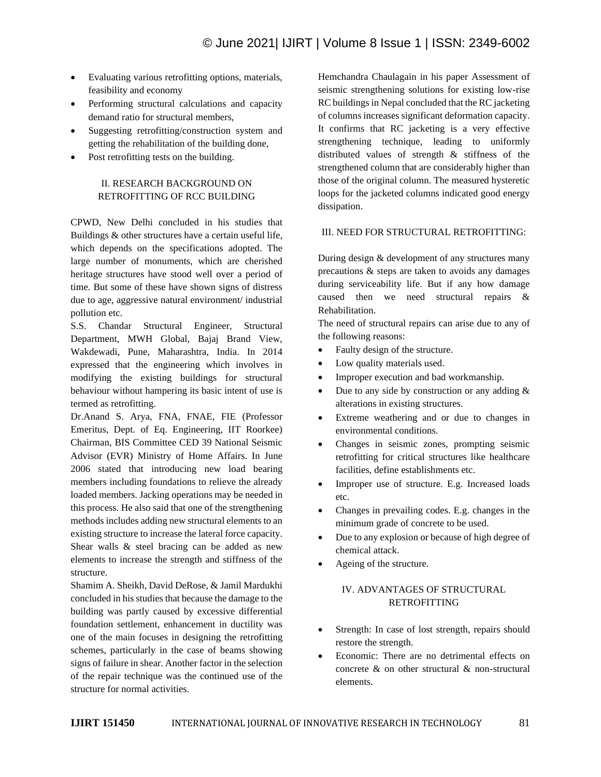- Evaluating various retrofitting options, materials, feasibility and economy
- Performing structural calculations and capacity demand ratio for structural members,
- Suggesting retrofitting/construction system and getting the rehabilitation of the building done,
- Post retrofitting tests on the building.

## II. RESEARCH BACKGROUND ON RETROFITTING OF RCC BUILDING

CPWD, New Delhi concluded in his studies that Buildings & other structures have a certain useful life, which depends on the specifications adopted. The large number of monuments, which are cherished heritage structures have stood well over a period of time. But some of these have shown signs of distress due to age, aggressive natural environment/ industrial pollution etc.

S.S. Chandar Structural Engineer, Structural Department, MWH Global, Bajaj Brand View, Wakdewadi, Pune, Maharashtra, India. In 2014 expressed that the engineering which involves in modifying the existing buildings for structural behaviour without hampering its basic intent of use is termed as retrofitting.

Dr.Anand S. Arya, FNA, FNAE, FIE (Professor Emeritus, Dept. of Eq. Engineering, IIT Roorkee) Chairman, BIS Committee CED 39 National Seismic Advisor (EVR) Ministry of Home Affairs. In June 2006 stated that introducing new load bearing members including foundations to relieve the already loaded members. Jacking operations may be needed in this process. He also said that one of the strengthening methods includes adding new structural elements to an existing structure to increase the lateral force capacity. Shear walls & steel bracing can be added as new elements to increase the strength and stiffness of the structure.

Shamim A. Sheikh, David DeRose, & Jamil Mardukhi concluded in his studies that because the damage to the building was partly caused by excessive differential foundation settlement, enhancement in ductility was one of the main focuses in designing the retrofitting schemes, particularly in the case of beams showing signs of failure in shear. Another factor in the selection of the repair technique was the continued use of the structure for normal activities.

Hemchandra Chaulagain in his paper Assessment of seismic strengthening solutions for existing low-rise RC buildings in Nepal concluded that the RC jacketing of columns increases significant deformation capacity. It confirms that RC jacketing is a very effective strengthening technique, leading to uniformly distributed values of strength & stiffness of the strengthened column that are considerably higher than those of the original column. The measured hysteretic loops for the jacketed columns indicated good energy dissipation.

### III. NEED FOR STRUCTURAL RETROFITTING:

During design & development of any structures many precautions & steps are taken to avoids any damages during serviceability life. But if any how damage caused then we need structural repairs & Rehabilitation.

The need of structural repairs can arise due to any of the following reasons:

- Faulty design of the structure.
- Low quality materials used.
- Improper execution and bad workmanship.
- Due to any side by construction or any adding  $\&$ alterations in existing structures.
- Extreme weathering and or due to changes in environmental conditions.
- Changes in seismic zones, prompting seismic retrofitting for critical structures like healthcare facilities, define establishments etc.
- Improper use of structure. E.g. Increased loads etc.
- Changes in prevailing codes. E.g. changes in the minimum grade of concrete to be used.
- Due to any explosion or because of high degree of chemical attack.
- Ageing of the structure.

# IV. ADVANTAGES OF STRUCTURAL RETROFITTING

- Strength: In case of lost strength, repairs should restore the strength.
- Economic: There are no detrimental effects on concrete & on other structural & non-structural elements.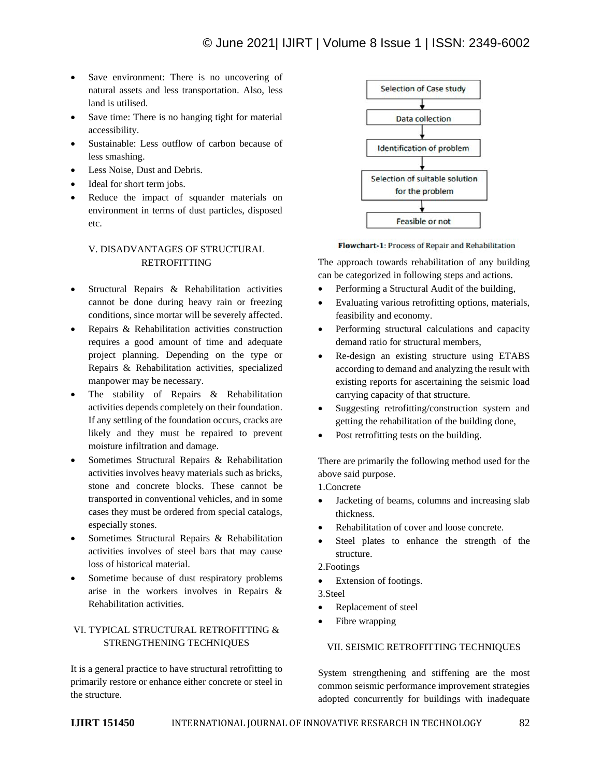- Save environment: There is no uncovering of natural assets and less transportation. Also, less land is utilised.
- Save time: There is no hanging tight for material accessibility.
- Sustainable: Less outflow of carbon because of less smashing.
- Less Noise, Dust and Debris.
- Ideal for short term jobs.
- Reduce the impact of squander materials on environment in terms of dust particles, disposed etc.

# V. DISADVANTAGES OF STRUCTURAL **RETROFITTING**

- Structural Repairs & Rehabilitation activities cannot be done during heavy rain or freezing conditions, since mortar will be severely affected.
- Repairs & Rehabilitation activities construction requires a good amount of time and adequate project planning. Depending on the type or Repairs & Rehabilitation activities, specialized manpower may be necessary.
- The stability of Repairs & Rehabilitation activities depends completely on their foundation. If any settling of the foundation occurs, cracks are likely and they must be repaired to prevent moisture infiltration and damage.
- Sometimes Structural Repairs & Rehabilitation activities involves heavy materials such as bricks, stone and concrete blocks. These cannot be transported in conventional vehicles, and in some cases they must be ordered from special catalogs, especially stones.
- Sometimes Structural Repairs & Rehabilitation activities involves of steel bars that may cause loss of historical material.
- Sometime because of dust respiratory problems arise in the workers involves in Repairs & Rehabilitation activities.

# VI. TYPICAL STRUCTURAL RETROFITTING & STRENGTHENING TECHNIQUES

It is a general practice to have structural retrofitting to primarily restore or enhance either concrete or steel in the structure.



Flowchart-1: Process of Repair and Rehabilitation

The approach towards rehabilitation of any building can be categorized in following steps and actions.

- Performing a Structural Audit of the building,
- Evaluating various retrofitting options, materials, feasibility and economy.
- Performing structural calculations and capacity demand ratio for structural members,
- Re-design an existing structure using ETABS according to demand and analyzing the result with existing reports for ascertaining the seismic load carrying capacity of that structure.
- Suggesting retrofitting/construction system and getting the rehabilitation of the building done,
- Post retrofitting tests on the building.

There are primarily the following method used for the above said purpose.

1.Concrete

- Jacketing of beams, columns and increasing slab thickness.
- Rehabilitation of cover and loose concrete.
- Steel plates to enhance the strength of the structure.
- 2.Footings
- Extension of footings.

3.Steel

- Replacement of steel
- Fibre wrapping

### VII. SEISMIC RETROFITTING TECHNIQUES

System strengthening and stiffening are the most common seismic performance improvement strategies adopted concurrently for buildings with inadequate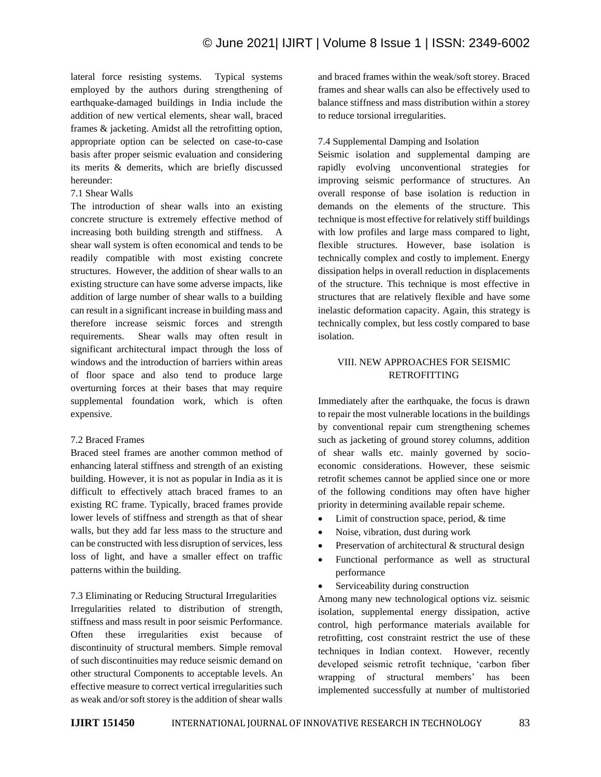lateral force resisting systems. Typical systems employed by the authors during strengthening of earthquake-damaged buildings in India include the addition of new vertical elements, shear wall, braced frames & jacketing. Amidst all the retrofitting option, appropriate option can be selected on case-to-case basis after proper seismic evaluation and considering its merits & demerits, which are briefly discussed hereunder:

## 7.1 Shear Walls

The introduction of shear walls into an existing concrete structure is extremely effective method of increasing both building strength and stiffness. A shear wall system is often economical and tends to be readily compatible with most existing concrete structures. However, the addition of shear walls to an existing structure can have some adverse impacts, like addition of large number of shear walls to a building can result in a significant increase in building mass and therefore increase seismic forces and strength requirements. Shear walls may often result in significant architectural impact through the loss of windows and the introduction of barriers within areas of floor space and also tend to produce large overturning forces at their bases that may require supplemental foundation work, which is often expensive.

# 7.2 Braced Frames

Braced steel frames are another common method of enhancing lateral stiffness and strength of an existing building. However, it is not as popular in India as it is difficult to effectively attach braced frames to an existing RC frame. Typically, braced frames provide lower levels of stiffness and strength as that of shear walls, but they add far less mass to the structure and can be constructed with less disruption of services, less loss of light, and have a smaller effect on traffic patterns within the building.

7.3 Eliminating or Reducing Structural Irregularities Irregularities related to distribution of strength, stiffness and mass result in poor seismic Performance. Often these irregularities exist because of discontinuity of structural members. Simple removal of such discontinuities may reduce seismic demand on other structural Components to acceptable levels. An effective measure to correct vertical irregularities such as weak and/or soft storey is the addition of shear walls

and braced frames within the weak/soft storey. Braced frames and shear walls can also be effectively used to balance stiffness and mass distribution within a storey to reduce torsional irregularities.

# 7.4 Supplemental Damping and Isolation

Seismic isolation and supplemental damping are rapidly evolving unconventional strategies for improving seismic performance of structures. An overall response of base isolation is reduction in demands on the elements of the structure. This technique is most effective for relatively stiff buildings with low profiles and large mass compared to light, flexible structures. However, base isolation is technically complex and costly to implement. Energy dissipation helps in overall reduction in displacements of the structure. This technique is most effective in structures that are relatively flexible and have some inelastic deformation capacity. Again, this strategy is technically complex, but less costly compared to base isolation.

# VIII. NEW APPROACHES FOR SEISMIC RETROFITTING

Immediately after the earthquake, the focus is drawn to repair the most vulnerable locations in the buildings by conventional repair cum strengthening schemes such as jacketing of ground storey columns, addition of shear walls etc. mainly governed by socioeconomic considerations. However, these seismic retrofit schemes cannot be applied since one or more of the following conditions may often have higher priority in determining available repair scheme.

- Limit of construction space, period, & time
- Noise, vibration, dust during work
- Preservation of architectural & structural design
- Functional performance as well as structural performance
- Serviceability during construction

Among many new technological options viz. seismic isolation, supplemental energy dissipation, active control, high performance materials available for retrofitting, cost constraint restrict the use of these techniques in Indian context. However, recently developed seismic retrofit technique, 'carbon fiber wrapping of structural members' has been implemented successfully at number of multistoried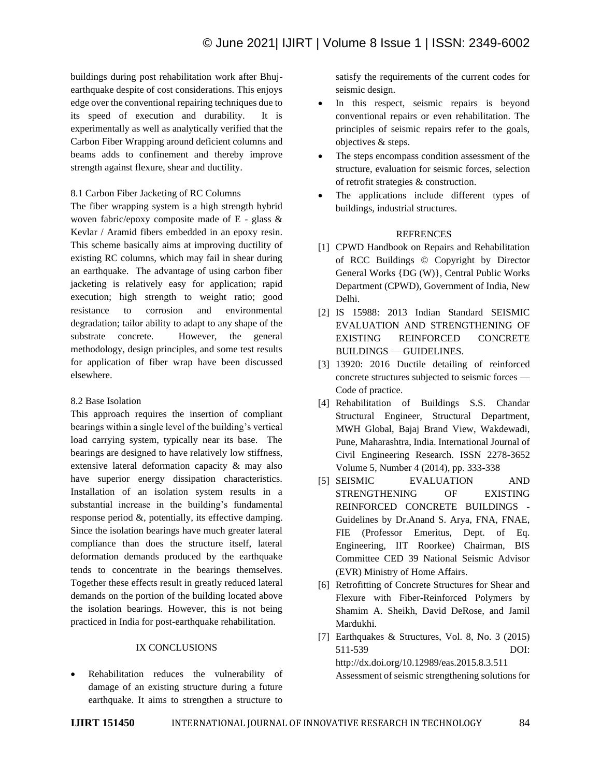buildings during post rehabilitation work after Bhujearthquake despite of cost considerations. This enjoys edge over the conventional repairing techniques due to its speed of execution and durability. It is experimentally as well as analytically verified that the Carbon Fiber Wrapping around deficient columns and beams adds to confinement and thereby improve strength against flexure, shear and ductility.

### 8.1 Carbon Fiber Jacketing of RC Columns

The fiber wrapping system is a high strength hybrid woven fabric/epoxy composite made of E - glass & Kevlar / Aramid fibers embedded in an epoxy resin. This scheme basically aims at improving ductility of existing RC columns, which may fail in shear during an earthquake. The advantage of using carbon fiber jacketing is relatively easy for application; rapid execution; high strength to weight ratio; good resistance to corrosion and environmental degradation; tailor ability to adapt to any shape of the substrate concrete. However, the general methodology, design principles, and some test results for application of fiber wrap have been discussed elsewhere.

### 8.2 Base Isolation

This approach requires the insertion of compliant bearings within a single level of the building's vertical load carrying system, typically near its base. The bearings are designed to have relatively low stiffness, extensive lateral deformation capacity & may also have superior energy dissipation characteristics. Installation of an isolation system results in a substantial increase in the building's fundamental response period &, potentially, its effective damping. Since the isolation bearings have much greater lateral compliance than does the structure itself, lateral deformation demands produced by the earthquake tends to concentrate in the bearings themselves. Together these effects result in greatly reduced lateral demands on the portion of the building located above the isolation bearings. However, this is not being practiced in India for post-earthquake rehabilitation.

### IX CONCLUSIONS

• Rehabilitation reduces the vulnerability of damage of an existing structure during a future earthquake. It aims to strengthen a structure to satisfy the requirements of the current codes for seismic design.

- In this respect, seismic repairs is beyond conventional repairs or even rehabilitation. The principles of seismic repairs refer to the goals, objectives & steps.
- The steps encompass condition assessment of the structure, evaluation for seismic forces, selection of retrofit strategies & construction.
- The applications include different types of buildings, industrial structures.

## **REFRENCES**

- [1] CPWD Handbook on Repairs and Rehabilitation of RCC Buildings © Copyright by Director General Works {DG (W)}, Central Public Works Department (CPWD), Government of India, New Delhi.
- [2] IS 15988: 2013 Indian Standard SEISMIC EVALUATION AND STRENGTHENING OF EXISTING REINFORCED CONCRETE BUILDINGS — GUIDELINES.
- [3] 13920: 2016 Ductile detailing of reinforced concrete structures subjected to seismic forces — Code of practice.
- [4] Rehabilitation of Buildings S.S. Chandar Structural Engineer, Structural Department, MWH Global, Bajaj Brand View, Wakdewadi, Pune, Maharashtra, India. International Journal of Civil Engineering Research. ISSN 2278-3652 Volume 5, Number 4 (2014), pp. 333-338
- [5] SEISMIC EVALUATION AND STRENGTHENING OF EXISTING REINFORCED CONCRETE BUILDINGS - Guidelines by Dr.Anand S. Arya, FNA, FNAE, FIE (Professor Emeritus, Dept. of Eq. Engineering, IIT Roorkee) Chairman, BIS Committee CED 39 National Seismic Advisor (EVR) Ministry of Home Affairs.
- [6] Retrofitting of Concrete Structures for Shear and Flexure with Fiber-Reinforced Polymers by Shamim A. Sheikh, David DeRose, and Jamil Mardukhi.
- [7] Earthquakes & Structures, Vol. 8, No. 3 (2015) 511-539 DOI: http://dx.doi.org/10.12989/eas.2015.8.3.511 Assessment of seismic strengthening solutions for